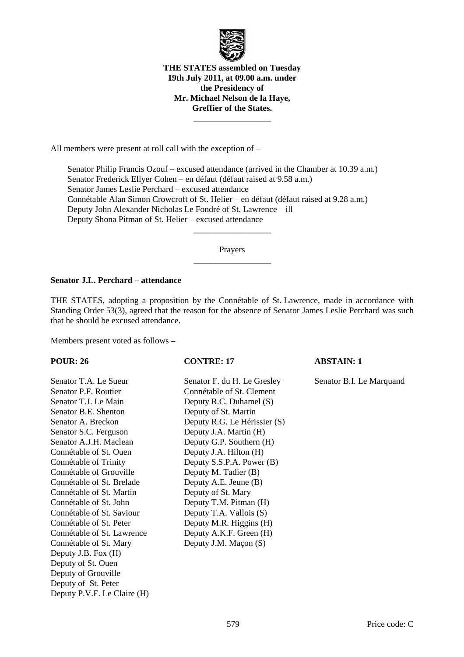

**THE STATES assembled on Tuesday 19th July 2011, at 09.00 a.m. under the Presidency of Mr. Michael Nelson de la Haye, Greffier of the States.** 

\_\_\_\_\_\_\_\_\_\_\_\_\_\_\_\_\_\_

All members were present at roll call with the exception of –

 Senator Philip Francis Ozouf – excused attendance (arrived in the Chamber at 10.39 a.m.) Senator Frederick Ellyer Cohen – en défaut (défaut raised at 9.58 a.m.) Senator James Leslie Perchard – excused attendance Connétable Alan Simon Crowcroft of St. Helier – en défaut (défaut raised at 9.28 a.m.) Deputy John Alexander Nicholas Le Fondré of St. Lawrence – ill Deputy Shona Pitman of St. Helier – excused attendance

> Prayers \_\_\_\_\_\_\_\_\_\_\_\_\_\_\_\_\_\_

> \_\_\_\_\_\_\_\_\_\_\_\_\_\_\_\_\_\_

### **Senator J.L. Perchard – attendance**

THE STATES, adopting a proposition by the Connétable of St. Lawrence, made in accordance with Standing Order 53(3), agreed that the reason for the absence of Senator James Leslie Perchard was such that he should be excused attendance.

Members present voted as follows –

Senator T.A. Le Sueur Senator F. du H. Le Gresley Senator B.I. Le Marquand Senator P.F. Routier Connétable of St. Clement Senator T.J. Le Main Deputy R.C. Duhamel (S) Senator B.E. Shenton Deputy of St. Martin Senator A. Breckon Deputy R.G. Le Hérissier (S) Senator S.C. Ferguson Deputy J.A. Martin (H) Senator A.J.H. Maclean Deputy G.P. Southern (H) Connétable of St. Ouen Deputy J.A. Hilton (H) Connétable of Trinity Deputy S.S.P.A. Power (B) Connétable of Grouville Deputy M. Tadier (B) Connétable of St. Brelade Deputy A.E. Jeune (B) Connétable of St. Martin Deputy of St. Mary Connétable of St. John Deputy T.M. Pitman (H) Connétable of St. Saviour Deputy T.A. Vallois (S) Connétable of St. Peter Deputy M.R. Higgins (H) Connétable of St. Lawrence Deputy A.K.F. Green (H) Connétable of St. Mary Deputy J.M. Macon (S) Deputy J.B. Fox (H) Deputy of St. Ouen Deputy of Grouville Deputy of St. Peter Deputy P.V.F. Le Claire (H)

### **POUR: 26 CONTRE: 17 ABSTAIN: 1**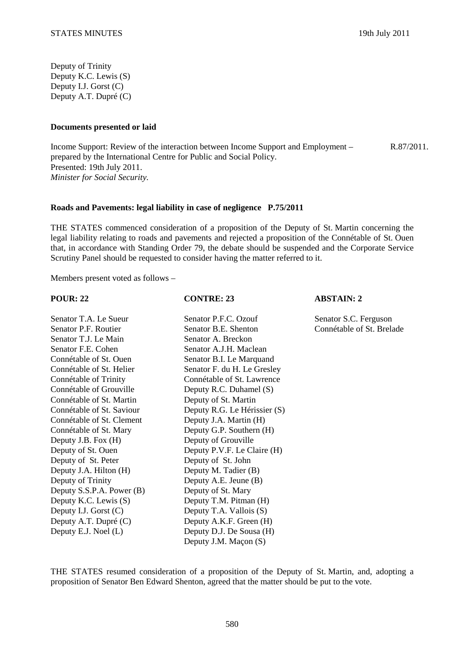Deputy of Trinity Deputy K.C. Lewis (S) Deputy I.J. Gorst (C) Deputy A.T. Dupré (C)

### **Documents presented or laid**

Income Support: Review of the interaction between Income Support and Employment – prepared by the International Centre for Public and Social Policy. Presented: 19th July 2011. *Minister for Social Security.* 

### **Roads and Pavements: legal liability in case of negligence P.75/2011**

THE STATES commenced consideration of a proposition of the Deputy of St. Martin concerning the legal liability relating to roads and pavements and rejected a proposition of the Connétable of St. Ouen that, in accordance with Standing Order 79, the debate should be suspended and the Corporate Service Scrutiny Panel should be requested to consider having the matter referred to it.

Members present voted as follows –

| <b>POUR: 22</b>           | <b>CONTRE: 23</b>            | <b>ABSTAIN: 2</b>         |
|---------------------------|------------------------------|---------------------------|
| Senator T.A. Le Sueur     | Senator P.F.C. Ozouf         | Senator S.C. Ferguson     |
| Senator P.F. Routier      | Senator B.E. Shenton         | Connétable of St. Brelade |
| Senator T.J. Le Main      | Senator A. Breckon           |                           |
| Senator F.E. Cohen        | Senator A.J.H. Maclean       |                           |
| Connétable of St. Ouen    | Senator B.I. Le Marquand     |                           |
| Connétable of St. Helier  | Senator F. du H. Le Gresley  |                           |
| Connétable of Trinity     | Connétable of St. Lawrence   |                           |
| Connétable of Grouville   | Deputy R.C. Duhamel (S)      |                           |
| Connétable of St. Martin  | Deputy of St. Martin         |                           |
| Connétable of St. Saviour | Deputy R.G. Le Hérissier (S) |                           |
| Connétable of St. Clement | Deputy J.A. Martin (H)       |                           |
| Connétable of St. Mary    | Deputy G.P. Southern (H)     |                           |
| Deputy J.B. Fox (H)       | Deputy of Grouville          |                           |
| Deputy of St. Ouen        | Deputy P.V.F. Le Claire (H)  |                           |
| Deputy of St. Peter       | Deputy of St. John           |                           |
| Deputy J.A. Hilton (H)    | Deputy M. Tadier (B)         |                           |
| Deputy of Trinity         | Deputy A.E. Jeune (B)        |                           |
| Deputy S.S.P.A. Power (B) | Deputy of St. Mary           |                           |
| Deputy K.C. Lewis (S)     | Deputy T.M. Pitman (H)       |                           |
| Deputy I.J. Gorst (C)     | Deputy T.A. Vallois (S)      |                           |
| Deputy A.T. Dupré (C)     | Deputy A.K.F. Green (H)      |                           |
| Deputy E.J. Noel (L)      | Deputy D.J. De Sousa (H)     |                           |
|                           | Deputy J.M. Maçon (S)        |                           |

THE STATES resumed consideration of a proposition of the Deputy of St. Martin, and, adopting a proposition of Senator Ben Edward Shenton, agreed that the matter should be put to the vote.

R.87/2011.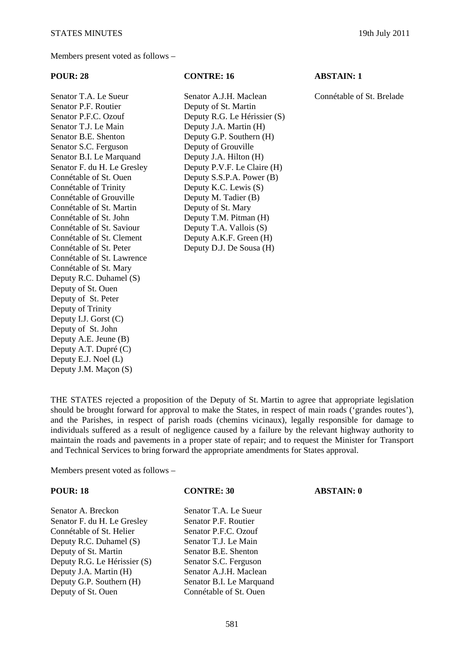Members present voted as follows –

Senator T.A. Le Sueur Senator A.J.H. Maclean Connétable of St. Brelade Senator P.F. Routier Deputy of St. Martin Senator T.J. Le Main Deputy J.A. Martin (H) Senator B.E. Shenton Deputy G.P. Southern (H) Senator S.C. Ferguson Deputy of Grouville Senator B.I. Le Marquand Deputy J.A. Hilton (H) Connétable of St. Ouen Deputy S.S.P.A. Power (B) Connétable of Trinity Deputy K.C. Lewis (S) Connétable of Grouville Deputy M. Tadier (B) Connétable of St. Martin Deputy of St. Mary Connétable of St. John Deputy T.M. Pitman (H) Connétable of St. Saviour Deputy T.A. Vallois (S) Connétable of St. Clement Deputy A.K.F. Green (H) Connétable of St. Peter Deputy D.J. De Sousa (H) Connétable of St. Lawrence Connétable of St. Mary Deputy R.C. Duhamel (S) Deputy of St. Ouen Deputy of St. Peter Deputy of Trinity Deputy I.J. Gorst (C) Deputy of St. John Deputy A.E. Jeune (B) Deputy A.T. Dupré (C) Deputy E.J. Noel (L) Deputy J.M. Maçon (S)

### **POUR: 28 CONTRE: 16 ABSTAIN: 1**

Senator P.F.C. Ozouf Deputy R.G. Le Hérissier (S) Senator F. du H. Le Gresley Deputy P.V.F. Le Claire (H)

THE STATES rejected a proposition of the Deputy of St. Martin to agree that appropriate legislation should be brought forward for approval to make the States, in respect of main roads ('grandes routes'), and the Parishes, in respect of parish roads (chemins vicinaux), legally responsible for damage to individuals suffered as a result of negligence caused by a failure by the relevant highway authority to maintain the roads and pavements in a proper state of repair; and to request the Minister for Transport and Technical Services to bring forward the appropriate amendments for States approval.

Members present voted as follows –

Senator A. Breckon Senator T.A. Le Sueur Senator F. du H. Le Gresley Senator P.F. Routier Connétable of St. Helier Senator P.F.C. Ozouf Deputy R.C. Duhamel (S) Senator T.J. Le Main Deputy of St. Martin Senator B.E. Shenton Deputy R.G. Le Hérissier (S) Senator S.C. Ferguson Deputy J.A. Martin (H) Senator A.J.H. Maclean Deputy G.P. Southern (H) Senator B.I. Le Marquand Deputy of St. Ouen Connétable of St. Ouen

### **POUR: 18 CONTRE: 30 ABSTAIN: 0**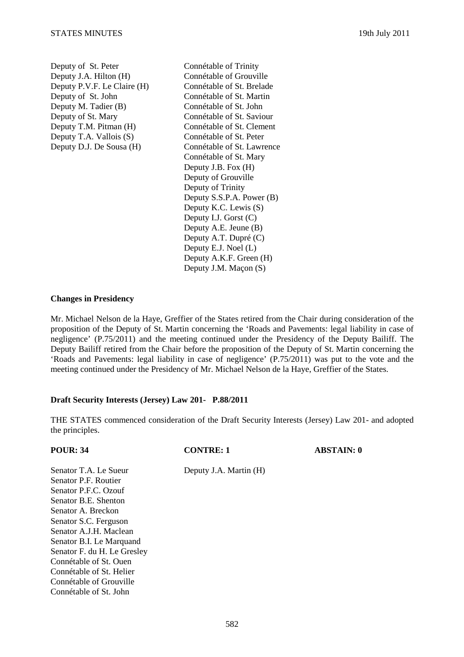Deputy of St. Peter Connétable of Trinity Deputy J.A. Hilton (H) Connétable of Grouville Deputy P.V.F. Le Claire (H) Connétable of St. Brelade Deputy of St. John Connétable of St. Martin Deputy M. Tadier (B) Connétable of St. John<br>Deputy of St. Mary Connétable of St. Savid Deputy T.M. Pitman (H) Connétable of St. Clement Deputy T.A. Vallois (S) Connétable of St. Peter

Connétable of St. Saviour Deputy D.J. De Sousa (H) Connétable of St. Lawrence Connétable of St. Mary Deputy J.B. Fox (H) Deputy of Grouville Deputy of Trinity Deputy S.S.P.A. Power (B) Deputy K.C. Lewis (S) Deputy I.J. Gorst (C) Deputy A.E. Jeune (B) Deputy A.T. Dupré (C) Deputy E.J. Noel (L) Deputy A.K.F. Green (H) Deputy J.M. Maçon (S)

## **Changes in Presidency**

Mr. Michael Nelson de la Haye, Greffier of the States retired from the Chair during consideration of the proposition of the Deputy of St. Martin concerning the 'Roads and Pavements: legal liability in case of negligence' (P.75/2011) and the meeting continued under the Presidency of the Deputy Bailiff. The Deputy Bailiff retired from the Chair before the proposition of the Deputy of St. Martin concerning the 'Roads and Pavements: legal liability in case of negligence' (P.75/2011) was put to the vote and the meeting continued under the Presidency of Mr. Michael Nelson de la Haye, Greffier of the States.

## **Draft Security Interests (Jersey) Law 201- P.88/2011**

THE STATES commenced consideration of the Draft Security Interests (Jersey) Law 201- and adopted the principles.

| <b>POUR: 34</b>             | <b>CONTRE: 1</b>       | <b>ABSTAIN: 0</b> |
|-----------------------------|------------------------|-------------------|
| Senator T.A. Le Sueur       | Deputy J.A. Martin (H) |                   |
| Senator P.F. Routier        |                        |                   |
| Senator P.F.C. Ozouf        |                        |                   |
| Senator B.E. Shenton        |                        |                   |
| Senator A. Breckon          |                        |                   |
| Senator S.C. Ferguson       |                        |                   |
| Senator A.J.H. Maclean      |                        |                   |
| Senator B.I. Le Marquand    |                        |                   |
| Senator F. du H. Le Gresley |                        |                   |
| Connétable of St. Ouen      |                        |                   |
| Connétable of St. Helier    |                        |                   |
| Connétable of Grouville     |                        |                   |
| Connétable of St. John      |                        |                   |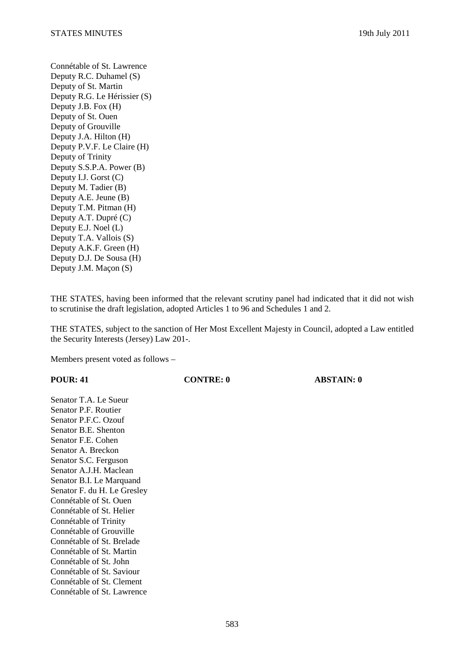Connétable of St. Lawrence Deputy R.C. Duhamel (S) Deputy of St. Martin Deputy R.G. Le Hérissier (S) Deputy J.B. Fox (H) Deputy of St. Ouen Deputy of Grouville Deputy J.A. Hilton (H) Deputy P.V.F. Le Claire (H) Deputy of Trinity Deputy S.S.P.A. Power (B) Deputy I.J. Gorst (C) Deputy M. Tadier (B) Deputy A.E. Jeune (B) Deputy T.M. Pitman (H) Deputy A.T. Dupré (C) Deputy E.J. Noel (L) Deputy T.A. Vallois (S) Deputy A.K.F. Green (H) Deputy D.J. De Sousa (H) Deputy J.M. Maçon (S)

THE STATES, having been informed that the relevant scrutiny panel had indicated that it did not wish to scrutinise the draft legislation, adopted Articles 1 to 96 and Schedules 1 and 2.

THE STATES, subject to the sanction of Her Most Excellent Majesty in Council, adopted a Law entitled the Security Interests (Jersey) Law 201-.

Members present voted as follows –

| <b>POUR: 41</b>             | <b>CONTRE: 0</b> | <b>ABSTAIN: 0</b> |
|-----------------------------|------------------|-------------------|
| Senator T.A. Le Sueur       |                  |                   |
| Senator P.F. Routier        |                  |                   |
| Senator P.F.C. Ozouf        |                  |                   |
| Senator B.E. Shenton        |                  |                   |
| Senator F.E. Cohen          |                  |                   |
| Senator A. Breckon          |                  |                   |
| Senator S.C. Ferguson       |                  |                   |
| Senator A.J.H. Maclean      |                  |                   |
| Senator B.I. Le Marquand    |                  |                   |
| Senator F. du H. Le Gresley |                  |                   |
| Connétable of St. Ouen      |                  |                   |
| Connétable of St. Helier    |                  |                   |
| Connétable of Trinity       |                  |                   |
| Connétable of Grouville     |                  |                   |
| Connétable of St. Brelade   |                  |                   |
| Connétable of St. Martin    |                  |                   |
| Connétable of St. John      |                  |                   |
| Connétable of St. Saviour   |                  |                   |
| Connétable of St. Clement   |                  |                   |
| Connétable of St. Lawrence  |                  |                   |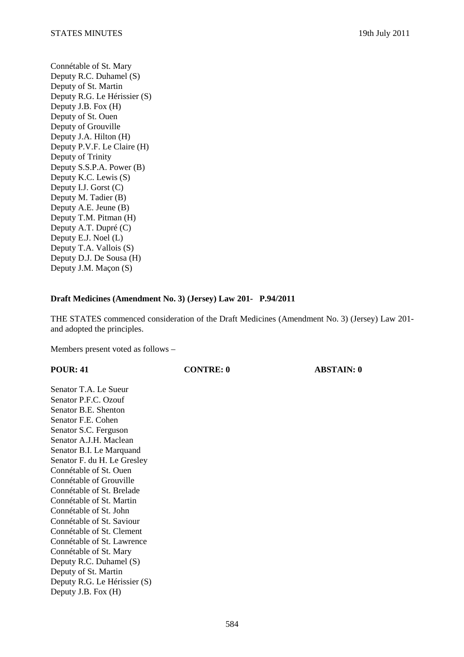Connétable of St. Mary Deputy R.C. Duhamel (S) Deputy of St. Martin Deputy R.G. Le Hérissier (S) Deputy J.B. Fox (H) Deputy of St. Ouen Deputy of Grouville Deputy J.A. Hilton (H) Deputy P.V.F. Le Claire (H) Deputy of Trinity Deputy S.S.P.A. Power (B) Deputy K.C. Lewis (S) Deputy I.J. Gorst (C) Deputy M. Tadier (B) Deputy A.E. Jeune (B) Deputy T.M. Pitman (H) Deputy A.T. Dupré (C) Deputy E.J. Noel (L) Deputy T.A. Vallois (S) Deputy D.J. De Sousa (H) Deputy J.M. Maçon (S)

# **Draft Medicines (Amendment No. 3) (Jersey) Law 201- P.94/2011**

THE STATES commenced consideration of the Draft Medicines (Amendment No. 3) (Jersey) Law 201 and adopted the principles.

Members present voted as follows –

**POUR: 41 CONTRE: 0 ABSTAIN: 0** 

Senator T.A. Le Sueur Senator P.F.C. Ozouf Senator B.E. Shenton Senator F.E. Cohen Senator S.C. Ferguson Senator A.J.H. Maclean Senator B.I. Le Marquand Senator F. du H. Le Gresley Connétable of St. Ouen Connétable of Grouville Connétable of St. Brelade Connétable of St. Martin Connétable of St. John Connétable of St. Saviour Connétable of St. Clement Connétable of St. Lawrence Connétable of St. Mary Deputy R.C. Duhamel (S) Deputy of St. Martin Deputy R.G. Le Hérissier (S) Deputy J.B. Fox (H)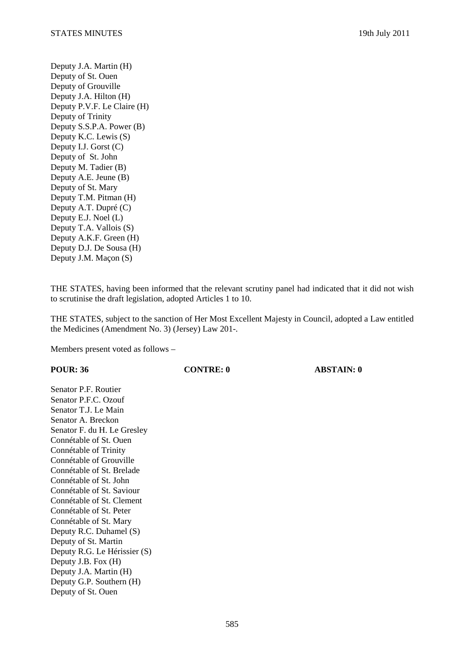Deputy J.A. Martin (H) Deputy of St. Ouen Deputy of Grouville Deputy J.A. Hilton (H) Deputy P.V.F. Le Claire (H) Deputy of Trinity Deputy S.S.P.A. Power (B) Deputy K.C. Lewis (S) Deputy I.J. Gorst (C) Deputy of St. John Deputy M. Tadier (B) Deputy A.E. Jeune (B) Deputy of St. Mary Deputy T.M. Pitman (H) Deputy A.T. Dupré (C) Deputy E.J. Noel (L) Deputy T.A. Vallois (S) Deputy A.K.F. Green (H) Deputy D.J. De Sousa (H) Deputy J.M. Maçon (S)

THE STATES, having been informed that the relevant scrutiny panel had indicated that it did not wish to scrutinise the draft legislation, adopted Articles 1 to 10.

THE STATES, subject to the sanction of Her Most Excellent Majesty in Council, adopted a Law entitled the Medicines (Amendment No. 3) (Jersey) Law 201-.

Members present voted as follows –

**POUR: 36 CONTRE: 0 ABSTAIN: 0** 

Senator P.F. Routier Senator P.F.C. Ozouf Senator T.J. Le Main Senator A. Breckon Senator F. du H. Le Gresley Connétable of St. Ouen Connétable of Trinity Connétable of Grouville Connétable of St. Brelade Connétable of St. John Connétable of St. Saviour Connétable of St. Clement Connétable of St. Peter Connétable of St. Mary Deputy R.C. Duhamel (S) Deputy of St. Martin Deputy R.G. Le Hérissier (S) Deputy J.B. Fox (H) Deputy J.A. Martin (H) Deputy G.P. Southern (H) Deputy of St. Ouen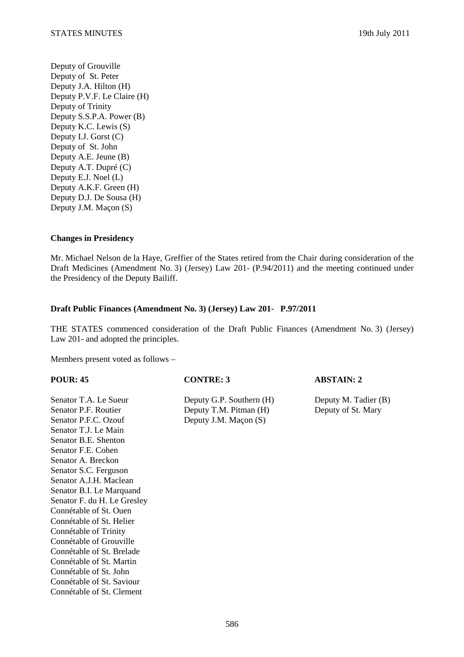Deputy of Grouville Deputy of St. Peter Deputy J.A. Hilton (H) Deputy P.V.F. Le Claire (H) Deputy of Trinity Deputy S.S.P.A. Power (B) Deputy K.C. Lewis (S) Deputy I.J. Gorst (C) Deputy of St. John Deputy A.E. Jeune (B) Deputy A.T. Dupré (C) Deputy E.J. Noel (L) Deputy A.K.F. Green (H) Deputy D.J. De Sousa (H) Deputy J.M. Maçon (S)

## **Changes in Presidency**

Mr. Michael Nelson de la Haye, Greffier of the States retired from the Chair during consideration of the Draft Medicines (Amendment No. 3) (Jersey) Law 201- (P.94/2011) and the meeting continued under the Presidency of the Deputy Bailiff.

### **Draft Public Finances (Amendment No. 3) (Jersey) Law 201- P.97/2011**

THE STATES commenced consideration of the Draft Public Finances (Amendment No. 3) (Jersey) Law 201- and adopted the principles.

Members present voted as follows –

Senator T.A. Le Sueur Deputy G.P. Southern (H) Deputy M. Tadier (B) Senator P.F. Routier Deputy T.M. Pitman (H) Deputy of St. Mary Senator P.F.C. Ozouf Deputy J.M. Maçon (S) Senator T.J. Le Main Senator B.E. Shenton Senator F.E. Cohen Senator A. Breckon Senator S.C. Ferguson Senator A.J.H. Maclean Senator B.I. Le Marquand Senator F. du H. Le Gresley Connétable of St. Ouen Connétable of St. Helier Connétable of Trinity Connétable of Grouville Connétable of St. Brelade Connétable of St. Martin Connétable of St. John Connétable of St. Saviour Connétable of St. Clement

**POUR: 45 CONTRE: 3 ABSTAIN: 2**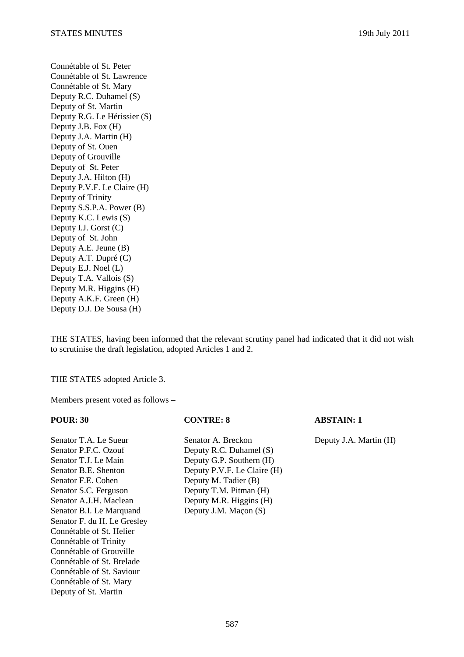Connétable of St. Peter Connétable of St. Lawrence Connétable of St. Mary Deputy R.C. Duhamel (S) Deputy of St. Martin Deputy R.G. Le Hérissier (S) Deputy J.B. Fox (H) Deputy J.A. Martin (H) Deputy of St. Ouen Deputy of Grouville Deputy of St. Peter Deputy J.A. Hilton (H) Deputy P.V.F. Le Claire (H) Deputy of Trinity Deputy S.S.P.A. Power (B) Deputy K.C. Lewis (S) Deputy I.J. Gorst (C) Deputy of St. John Deputy A.E. Jeune (B) Deputy A.T. Dupré (C) Deputy E.J. Noel (L) Deputy T.A. Vallois (S) Deputy M.R. Higgins (H) Deputy A.K.F. Green (H) Deputy D.J. De Sousa (H)

THE STATES, having been informed that the relevant scrutiny panel had indicated that it did not wish to scrutinise the draft legislation, adopted Articles 1 and 2.

THE STATES adopted Article 3.

Members present voted as follows –

Senator P.F.C. Ozouf Deputy R.C. Duhamel (S) Senator T.J. Le Main Deputy G.P. Southern (H) Senator F.E. Cohen Deputy M. Tadier (B) Senator S.C. Ferguson Deputy T.M. Pitman (H) Senator A.J.H. Maclean Deputy M.R. Higgins (H) Senator B.I. Le Marquand Deputy J.M. Maçon (S) Senator F. du H. Le Gresley Connétable of St. Helier Connétable of Trinity Connétable of Grouville Connétable of St. Brelade Connétable of St. Saviour Connétable of St. Mary Deputy of St. Martin

Senator T.A. Le Sueur Senator A. Breckon Deputy J.A. Martin (H) Senator B.E. Shenton Deputy P.V.F. Le Claire (H)

**POUR: 30 CONTRE: 8 ABSTAIN: 1**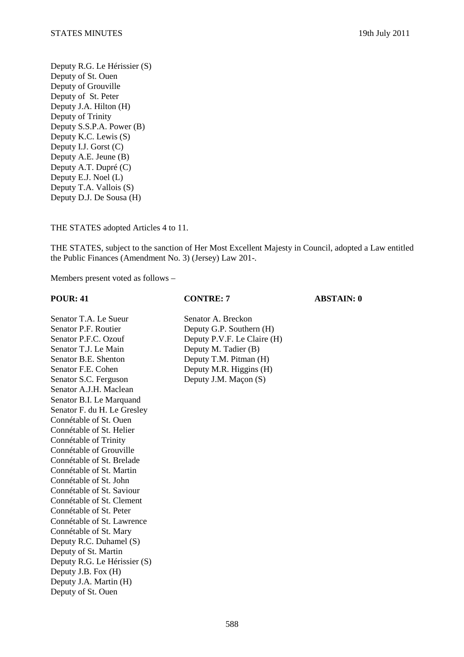Deputy R.G. Le Hérissier (S) Deputy of St. Ouen Deputy of Grouville Deputy of St. Peter Deputy J.A. Hilton (H) Deputy of Trinity Deputy S.S.P.A. Power (B) Deputy K.C. Lewis (S) Deputy I.J. Gorst (C) Deputy A.E. Jeune (B) Deputy A.T. Dupré (C) Deputy E.J. Noel (L) Deputy T.A. Vallois (S) Deputy D.J. De Sousa (H)

THE STATES adopted Articles 4 to 11.

THE STATES, subject to the sanction of Her Most Excellent Majesty in Council, adopted a Law entitled the Public Finances (Amendment No. 3) (Jersey) Law 201-.

Members present voted as follows –

**POUR: 41 CONTRE: 7 ABSTAIN: 0** 

Senator T.A. Le Sueur Senator A. Breckon Senator P.F. Routier Deputy G.P. Southern (H) Senator P.F.C. Ozouf Deputy P.V.F. Le Claire (H) Senator T.J. Le Main Deputy M. Tadier (B) Senator B.E. Shenton Deputy T.M. Pitman (H) Senator F.E. Cohen Deputy M.R. Higgins (H) Senator S.C. Ferguson Deputy J.M. Maçon (S) Senator A.J.H. Maclean Senator B.I. Le Marquand Senator F. du H. Le Gresley Connétable of St. Ouen Connétable of St. Helier Connétable of Trinity Connétable of Grouville Connétable of St. Brelade Connétable of St. Martin Connétable of St. John Connétable of St. Saviour Connétable of St. Clement Connétable of St. Peter Connétable of St. Lawrence Connétable of St. Mary Deputy R.C. Duhamel (S) Deputy of St. Martin Deputy R.G. Le Hérissier (S) Deputy J.B. Fox (H) Deputy J.A. Martin (H) Deputy of St. Ouen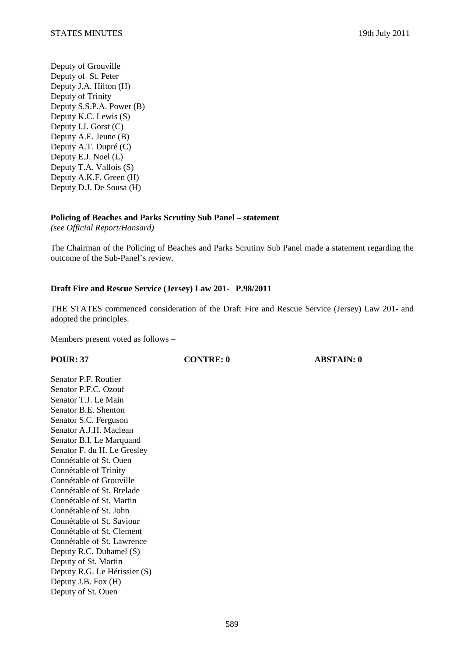Deputy of Grouville Deputy of St. Peter Deputy J.A. Hilton (H) Deputy of Trinity Deputy S.S.P.A. Power (B) Deputy K.C. Lewis (S) Deputy I.J. Gorst (C) Deputy A.E. Jeune (B) Deputy A.T. Dupré (C) Deputy E.J. Noel (L) Deputy T.A. Vallois (S) Deputy A.K.F. Green (H) Deputy D.J. De Sousa (H)

## **Policing of Beaches and Parks Scrutiny Sub Panel – statement**

*(see Official Report/Hansard)* 

The Chairman of the Policing of Beaches and Parks Scrutiny Sub Panel made a statement regarding the outcome of the Sub-Panel's review.

# **Draft Fire and Rescue Service (Jersey) Law 201- P.98/2011**

THE STATES commenced consideration of the Draft Fire and Rescue Service (Jersey) Law 201- and adopted the principles.

Members present voted as follows –

**POUR: 37 CONTRE: 0 ABSTAIN: 0** 

Senator P.F. Routier Senator P.F.C. Ozouf Senator T.J. Le Main Senator B.E. Shenton Senator S.C. Ferguson Senator A.J.H. Maclean Senator B.I. Le Marquand Senator F. du H. Le Gresley Connétable of St. Ouen Connétable of Trinity Connétable of Grouville Connétable of St. Brelade Connétable of St. Martin Connétable of St. John Connétable of St. Saviour Connétable of St. Clement Connétable of St. Lawrence Deputy R.C. Duhamel (S) Deputy of St. Martin Deputy R.G. Le Hérissier (S) Deputy J.B. Fox (H) Deputy of St. Ouen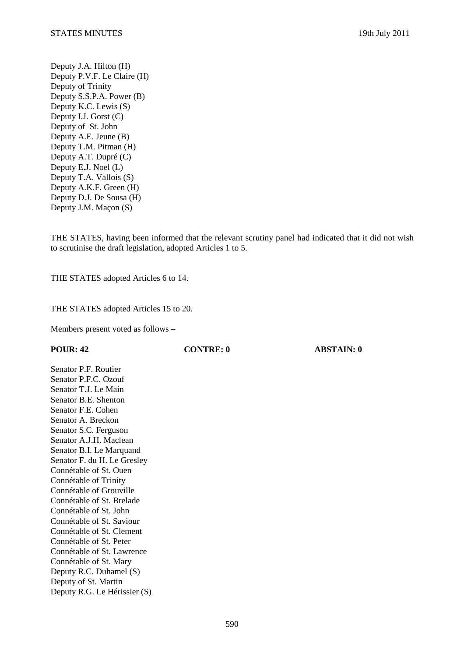Deputy J.A. Hilton (H) Deputy P.V.F. Le Claire (H) Deputy of Trinity Deputy S.S.P.A. Power (B) Deputy K.C. Lewis (S) Deputy I.J. Gorst (C) Deputy of St. John Deputy A.E. Jeune (B) Deputy T.M. Pitman (H) Deputy A.T. Dupré (C) Deputy E.J. Noel (L) Deputy T.A. Vallois (S) Deputy A.K.F. Green (H) Deputy D.J. De Sousa (H) Deputy J.M. Maçon (S)

THE STATES, having been informed that the relevant scrutiny panel had indicated that it did not wish to scrutinise the draft legislation, adopted Articles 1 to 5.

THE STATES adopted Articles 6 to 14.

THE STATES adopted Articles 15 to 20.

Members present voted as follows –

**POUR: 42 CONTRE: 0 ABSTAIN: 0** 

Senator P.F. Routier Senator P.F.C. Ozouf Senator T.J. Le Main Senator B.E. Shenton Senator F.E. Cohen Senator A. Breckon Senator S.C. Ferguson Senator A.J.H. Maclean Senator B.I. Le Marquand Senator F. du H. Le Gresley Connétable of St. Ouen Connétable of Trinity Connétable of Grouville Connétable of St. Brelade Connétable of St. John Connétable of St. Saviour Connétable of St. Clement Connétable of St. Peter Connétable of St. Lawrence Connétable of St. Mary Deputy R.C. Duhamel (S) Deputy of St. Martin Deputy R.G. Le Hérissier (S)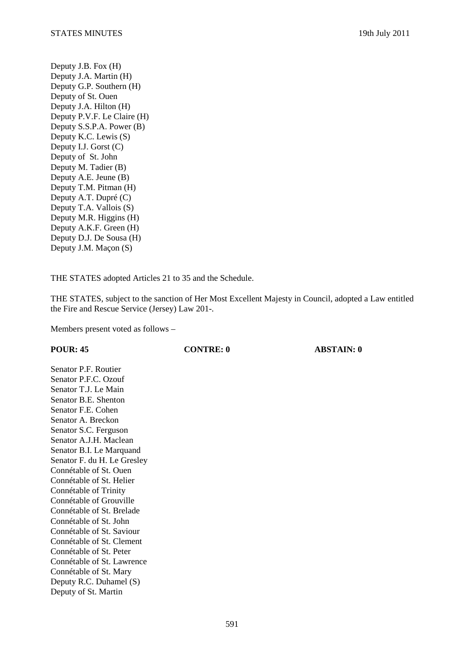Deputy J.B. Fox (H) Deputy J.A. Martin (H) Deputy G.P. Southern (H) Deputy of St. Ouen Deputy J.A. Hilton (H) Deputy P.V.F. Le Claire (H) Deputy S.S.P.A. Power (B) Deputy K.C. Lewis (S) Deputy I.J. Gorst (C) Deputy of St. John Deputy M. Tadier (B) Deputy A.E. Jeune (B) Deputy T.M. Pitman (H) Deputy A.T. Dupré (C) Deputy T.A. Vallois (S) Deputy M.R. Higgins (H) Deputy A.K.F. Green (H) Deputy D.J. De Sousa (H) Deputy J.M. Maçon (S)

THE STATES adopted Articles 21 to 35 and the Schedule.

THE STATES, subject to the sanction of Her Most Excellent Majesty in Council, adopted a Law entitled the Fire and Rescue Service (Jersey) Law 201-.

Members present voted as follows –

**POUR: 45 CONTRE: 0 ABSTAIN: 0** 

Senator P.F. Routier Senator P.F.C. Ozouf Senator T.J. Le Main Senator B.E. Shenton Senator F.E. Cohen Senator A. Breckon Senator S.C. Ferguson Senator A.J.H. Maclean Senator B.I. Le Marquand Senator F. du H. Le Gresley Connétable of St. Ouen Connétable of St. Helier Connétable of Trinity Connétable of Grouville Connétable of St. Brelade Connétable of St. John Connétable of St. Saviour Connétable of St. Clement Connétable of St. Peter Connétable of St. Lawrence Connétable of St. Mary Deputy R.C. Duhamel (S) Deputy of St. Martin